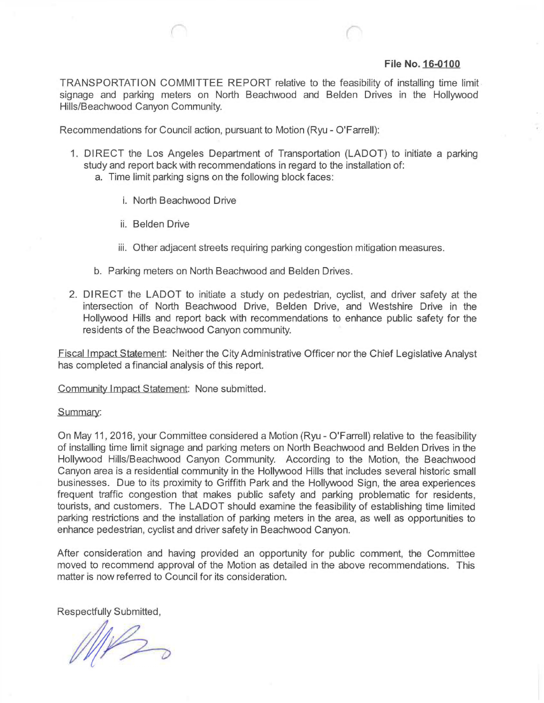## **File No. 16-0100**

TRANSPORTATION COMMITTEE REPORT relative to the feasibility of installing time limit signage and parking meters on North Beachwood and Beiden Drives in the Hollywood Hills/Beachwood Canyon Community.

Recommendations for Council action, pursuant to Motion (Ryu - O'Farrell):

- 1. DIRECT the Los Angeles Department of Transportation (LADOT) to initiate a parking study and report back with recommendations in regard to the installation of:
	- a. Time limit parking signs on the following block faces:
		- i. North Beachwood Drive
		- ii. Beiden Drive
		- iii. Other adjacent streets requiring parking congestion mitigation measures.
	- b. Parking meters on North Beachwood and Beiden Drives.
- 2. DIRECT the LADOT to initiate a study on pedestrian, cyclist, and driver safety at the intersection of North Beachwood Drive, Beiden Drive, and Westshire Drive in the Hollywood Hills and report back with recommendations to enhance public safety for the residents of the Beachwood Canyon community.

Fiscal Impact Statement: Neither the City Administrative Officer nor the Chief Legislative Analyst has completed a financial analysis of this report.

Community Impact Statement: None submitted.

## Summary:

On May 11,2016, your Committee considered a Motion (Ryu - O'Farrell) relative to the feasibility of installing time limit signage and parking meters on North Beachwood and Beiden Drives in the Hollywood Hills/Beachwood Canyon Community. According to the Motion, the Beachwood Canyon area is a residential community in the Hollywood Hills that includes several historic small businesses. Due to its proximity to Griffith Park and the Hollywood Sign, the area experiences frequent traffic congestion that makes public safety and parking problematic for residents, tourists, and customers. The LADOT should examine the feasibility of establishing time limited parking restrictions and the installation of parking meters in the area, as well as opportunities to enhance pedestrian, cyclist and driver safety in Beachwood Canyon.

After consideration and having provided an opportunity for public comment, the Committee moved to recommend approval of the Motion as detailed in the above recommendations. This matter is now referred to Council for its consideration.

Respectfully Submitted,